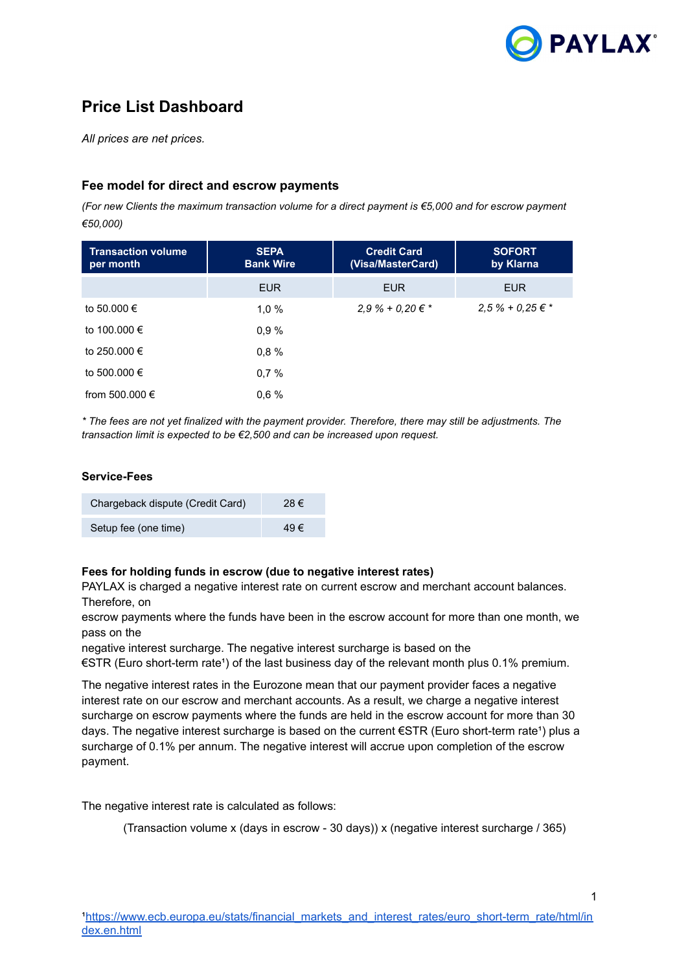

# **Price List Dashboard**

*All prices are net prices.*

### **Fee model for direct and escrow payments**

*(For new Clients the maximum transaction volume for a direct payment is €5,000 and for escrow payment €50,000)*

| <b>Transaction volume</b><br>per month | <b>SEPA</b><br><b>Bank Wire</b> | <b>Credit Card</b><br>(Visa/MasterCard) | <b>SOFORT</b><br>by Klarna |
|----------------------------------------|---------------------------------|-----------------------------------------|----------------------------|
|                                        | <b>EUR</b>                      | <b>EUR</b>                              | <b>EUR</b>                 |
| to 50.000 €                            | 1,0%                            | $2.9\% + 0.20 \in$ *                    | $2.5% + 0.25 \in$ *        |
| to 100.000 €                           | 0,9%                            |                                         |                            |
| to 250,000 €                           | 0.8%                            |                                         |                            |
| to 500,000 €                           | 0.7%                            |                                         |                            |
| from 500.000 €                         | 0.6%                            |                                         |                            |

*\* The fees are not yet finalized with the payment provider. Therefore, there may still be adjustments. The transaction limit is expected to be €2,500 and can be increased upon request.*

#### **Service-Fees**

| Chargeback dispute (Credit Card) | 28€ |
|----------------------------------|-----|
| Setup fee (one time)             | 49€ |

#### **Fees for holding funds in escrow (due to negative interest rates)**

PAYLAX is charged a negative interest rate on current escrow and merchant account balances. Therefore, on

escrow payments where the funds have been in the escrow account for more than one month, we pass on the

negative interest surcharge. The negative interest surcharge is based on the

 $€STR$  (Euro short-term rate<sup>1</sup>) of the last business day of the relevant month plus 0.1% premium.

The negative interest rates in the Eurozone mean that our payment provider faces a negative interest rate on our escrow and merchant accounts. As a result, we charge a negative interest surcharge on escrow payments where the funds are held in the escrow account for more than 30 days. The negative interest surcharge is based on the current  $\epsilon$ STR (Euro short-term rate<sup>1</sup>) plus a surcharge of 0.1% per annum. The negative interest will accrue upon completion of the escrow payment.

The negative interest rate is calculated as follows:

(Transaction volume x (days in escrow - 30 days)) x (negative interest surcharge / 365)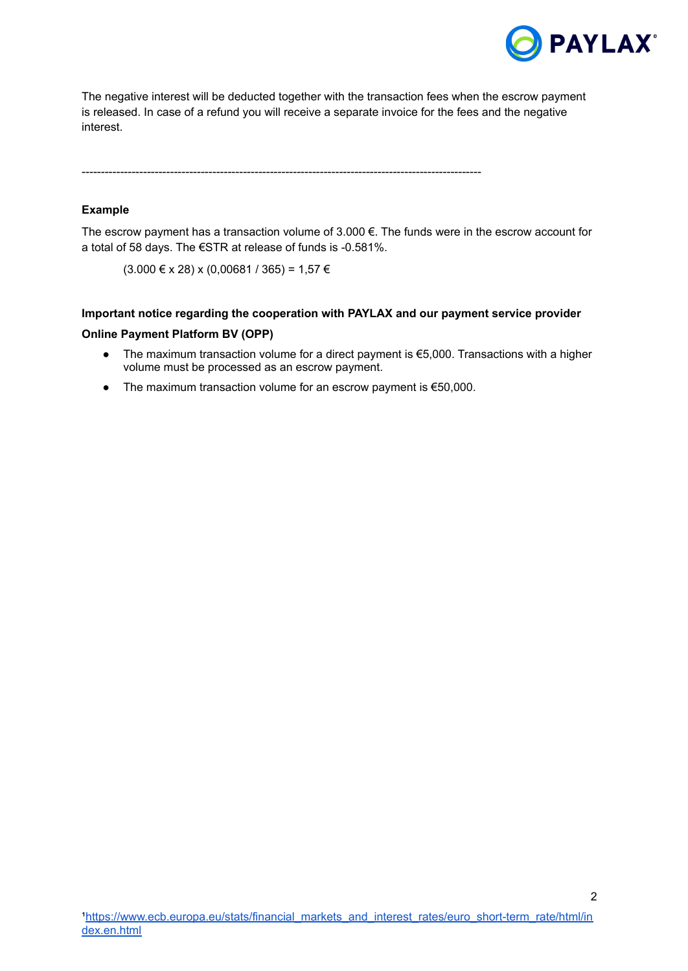

2

The negative interest will be deducted together with the transaction fees when the escrow payment is released. In case of a refund you will receive a separate invoice for the fees and the negative interest.

--------------------------------------------------------------------------------------------------------

#### **Example**

The escrow payment has a transaction volume of 3.000 €. The funds were in the escrow account for a total of 58 days. The €STR at release of funds is -0.581%.

 $(3.000 \le x 28)$  x  $(0,00681 / 365) = 1,57 \in$ 

## **Important notice regarding the cooperation with PAYLAX and our payment service provider Online Payment Platform BV (OPP)**

- The maximum transaction volume for a direct payment is €5,000. Transactions with a higher volume must be processed as an escrow payment.
- The maximum transaction volume for an escrow payment is €50,000.